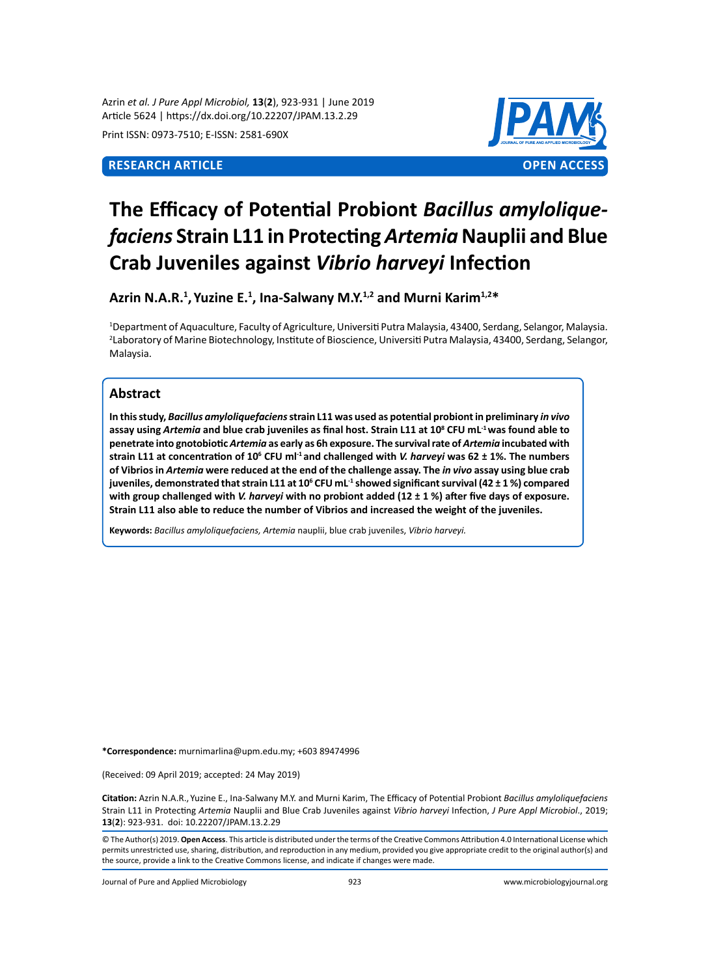Azrin *et al. J Pure Appl Microbiol,* **13**(**2**), 923-931 | June 2019 Article 5624 | https://dx.doi.org/10.22207/JPAM.13.2.29

Print ISSN: 0973-7510; E-ISSN: 2581-690X



# **The Efficacy of Potential Probiont** *Bacillus amyloliquefaciens* **Strain L11 in Protecting** *Artemia* **Nauplii and Blue Crab Juveniles against** *Vibrio harveyi* **Infection**

**Azrin N.A.R.1 , Yuzine E. 1 , Ina-Salwany M.Y.1,2 and Murni Karim1,2\***

1 Department of Aquaculture, Faculty of Agriculture, Universiti Putra Malaysia, 43400, Serdang, Selangor, Malaysia. 2 Laboratory of Marine Biotechnology, Institute of Bioscience, Universiti Putra Malaysia, 43400, Serdang, Selangor, Malaysia.

# **Abstract**

**In this study,** *Bacillus amyloliquefaciens* **strain L11 was used as potential probiont in preliminary** *in vivo* **assay using** *Artemia* **and blue crab juveniles as final host. Strain L11 at 10<sup>8</sup> CFU mL-1 was found able to penetrate into gnotobiotic** *Artemia* **as early as 6h exposure. The survival rate of** *Artemia* **incubated with strain L11 at concentration of 106 CFU ml-1 and challenged with** *V. harveyi* **was 62 ± 1%. The numbers of Vibrios in** *Artemia* **were reduced at the end of the challenge assay. The** *in vivo* **assay using blue crab juveniles, demonstrated that strain L11 at 106 CFU mL-1 showed significant survival (42 ± 1 %) compared with group challenged with** *V. harveyi* **with no probiont added (12 ± 1 %) after five days of exposure. Strain L11 also able to reduce the number of Vibrios and increased the weight of the juveniles.**

**Keywords:** *Bacillus amyloliquefaciens, Artemia* nauplii, blue crab juveniles, *Vibrio harveyi.*

**\*Correspondence:** murnimarlina@upm.edu.my; +603 89474996

(Received: 09 April 2019; accepted: 24 May 2019)

**Citation:** Azrin N.A.R., Yuzine E., Ina-Salwany M.Y. and Murni Karim, The Efficacy of Potential Probiont *Bacillus amyloliquefaciens* Strain L11 in Protecting *Artemia* Nauplii and Blue Crab Juveniles against *Vibrio harveyi* Infection, *J Pure Appl Microbiol*., 2019; **13**(**2**): 923-931. doi: 10.22207/JPAM.13.2.29

© The Author(s) 2019. **Open Access**. This article is distributed under the terms of the Creative Commons Attribution 4.0 International License which permits unrestricted use, sharing, distribution, and reproduction in any medium, provided you give appropriate credit to the original author(s) and the source, provide a link to the Creative Commons license, and indicate if changes were made.

Journal of Pure and Applied Microbiology 923 www.microbiologyjournal.org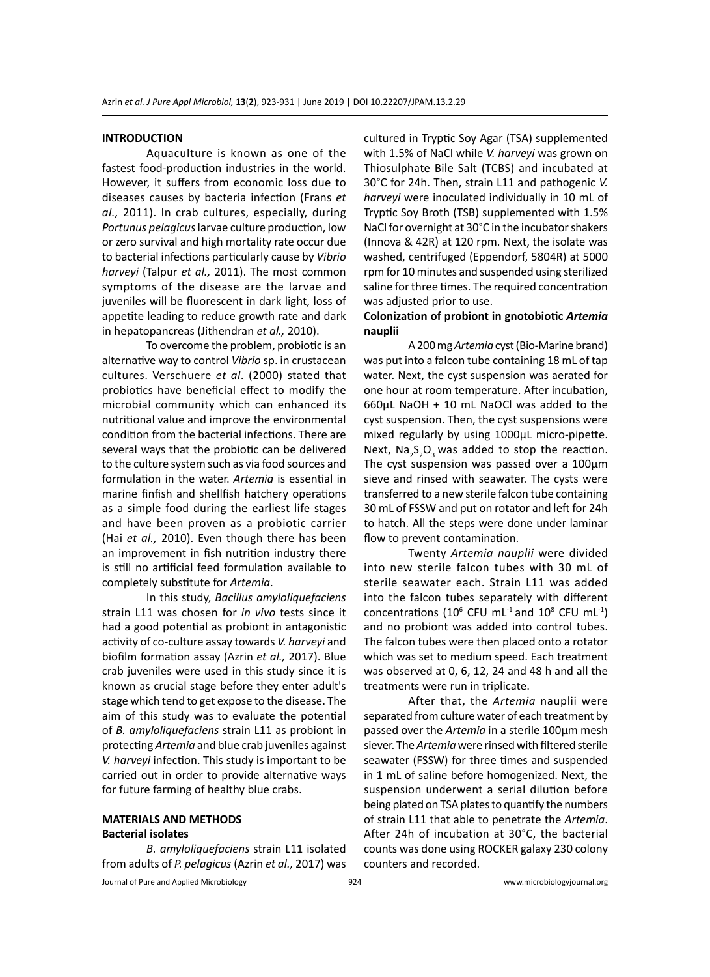#### **INTRODUCTION**

Aquaculture is known as one of the fastest food-production industries in the world. However, it suffers from economic loss due to diseases causes by bacteria infection (Frans *et al.,* 2011). In crab cultures, especially, during *Portunus pelagicus* larvae culture production, low or zero survival and high mortality rate occur due to bacterial infections particularly cause by *Vibrio harveyi* (Talpur *et al.,* 2011). The most common symptoms of the disease are the larvae and juveniles will be fluorescent in dark light, loss of appetite leading to reduce growth rate and dark in hepatopancreas (Jithendran *et al.,* 2010).

To overcome the problem, probiotic is an alternative way to control *Vibrio* sp. in crustacean cultures. Verschuere *et al*. (2000) stated that probiotics have beneficial effect to modify the microbial community which can enhanced its nutritional value and improve the environmental condition from the bacterial infections. There are several ways that the probiotic can be delivered to the culture system such as via food sources and formulation in the water. *Artemia* is essential in marine finfish and shellfish hatchery operations as a simple food during the earliest life stages and have been proven as a probiotic carrier (Hai *et al.,* 2010). Even though there has been an improvement in fish nutrition industry there is still no artificial feed formulation available to completely substitute for *Artemia*.

In this study, *Bacillus amyloliquefaciens*  strain L11 was chosen for *in vivo* tests since it had a good potential as probiont in antagonistic activity of co-culture assay towards *V. harveyi* and biofilm formation assay (Azrin *et al.,* 2017). Blue crab juveniles were used in this study since it is known as crucial stage before they enter adult's stage which tend to get expose to the disease. The aim of this study was to evaluate the potential of *B. amyloliquefaciens* strain L11 as probiont in protecting *Artemia* and blue crab juveniles against *V. harveyi* infection. This study is important to be carried out in order to provide alternative ways for future farming of healthy blue crabs.

#### **MATERIALS AND METHODS Bacterial isolates**

# *B. amyloliquefaciens* strain L11 isolated from adults of *P. pelagicus* (Azrin *et al.,* 2017) was

cultured in Tryptic Soy Agar (TSA) supplemented with 1.5% of NaCl while *V. harveyi* was grown on Thiosulphate Bile Salt (TCBS) and incubated at 30°C for 24h. Then, strain L11 and pathogenic *V. harveyi* were inoculated individually in 10 mL of Tryptic Soy Broth (TSB) supplemented with 1.5% NaCl for overnight at 30°C in the incubator shakers (Innova & 42R) at 120 rpm. Next, the isolate was washed, centrifuged (Eppendorf, 5804R) at 5000 rpm for 10 minutes and suspended using sterilized saline for three times. The required concentration was adjusted prior to use.

# **Colonization of probiont in gnotobiotic** *Artemia*  **nauplii**

A 200 mg *Artemia* cyst (Bio-Marine brand) was put into a falcon tube containing 18 mL of tap water. Next, the cyst suspension was aerated for one hour at room temperature. After incubation, 660µL NaOH + 10 mL NaOCl was added to the cyst suspension. Then, the cyst suspensions were mixed regularly by using 1000µL micro-pipette. Next,  $\textsf{Na}_2\textsf{S}_2\textsf{O}_3$  was added to stop the reaction. The cyst suspension was passed over a 100µm sieve and rinsed with seawater. The cysts were transferred to a new sterile falcon tube containing 30 mL of FSSW and put on rotator and left for 24h to hatch. All the steps were done under laminar flow to prevent contamination.

Twenty *Artemia nauplii* were divided into new sterile falcon tubes with 30 mL of sterile seawater each. Strain L11 was added into the falcon tubes separately with different concentrations (10 $\textdegree$  CFU mL<sup>-1</sup> and 10 $\textdegree$  CFU mL<sup>-1</sup>) and no probiont was added into control tubes. The falcon tubes were then placed onto a rotator which was set to medium speed. Each treatment was observed at 0, 6, 12, 24 and 48 h and all the treatments were run in triplicate.

After that, the *Artemia* nauplii were separated from culture water of each treatment by passed over the *Artemia* in a sterile 100µm mesh siever. The *Artemia* were rinsed with filtered sterile seawater (FSSW) for three times and suspended in 1 mL of saline before homogenized. Next, the suspension underwent a serial dilution before being plated on TSA plates to quantify the numbers of strain L11 that able to penetrate the *Artemia*. After 24h of incubation at 30°C, the bacterial counts was done using ROCKER galaxy 230 colony counters and recorded.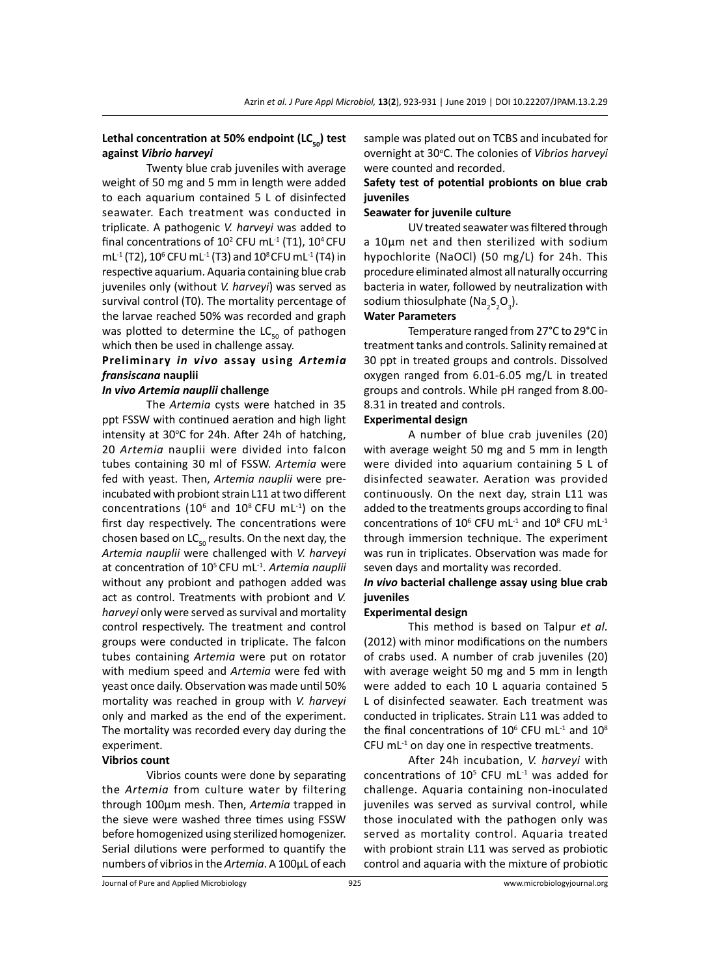# Lethal concentration at 50% endpoint (LC<sub>50</sub>) test **against** *Vibrio harveyi*

Twenty blue crab juveniles with average weight of 50 mg and 5 mm in length were added to each aquarium contained 5 L of disinfected seawater. Each treatment was conducted in triplicate. A pathogenic *V. harveyi* was added to final concentrations of  $10^2$  CFU mL<sup>-1</sup> (T1),  $10^4$  CFU mL<sup>-1</sup> (T2), 10<sup>6</sup> CFU mL<sup>-1</sup> (T3) and 10<sup>8</sup> CFU mL<sup>-1</sup> (T4) in respective aquarium. Aquaria containing blue crab juveniles only (without *V. harveyi*) was served as survival control (T0). The mortality percentage of the larvae reached 50% was recorded and graph was plotted to determine the  $LC_{50}$  of pathogen which then be used in challenge assay.

# **Preliminary** *in vivo* **assay using** *Artemia fransiscana* **nauplii**

#### *In vivo Artemia nauplii* **challenge**

The *Artemia* cysts were hatched in 35 ppt FSSW with continued aeration and high light intensity at 30°C for 24h. After 24h of hatching, 20 *Artemia* nauplii were divided into falcon tubes containing 30 ml of FSSW. *Artemia* were fed with yeast. Then, *Artemia nauplii* were preincubated with probiont strain L11 at two different concentrations ( $10^6$  and  $10^8$  CFU mL $^{-1}$ ) on the first day respectively. The concentrations were chosen based on  $LC_{50}$  results. On the next day, the *Artemia nauplii* were challenged with *V. harveyi*  at concentration of 105 CFU mL-1. *Artemia nauplii* without any probiont and pathogen added was act as control. Treatments with probiont and *V. harveyi* only were served as survival and mortality control respectively. The treatment and control groups were conducted in triplicate. The falcon tubes containing *Artemia* were put on rotator with medium speed and *Artemia* were fed with yeast once daily. Observation was made until 50% mortality was reached in group with *V. harveyi* only and marked as the end of the experiment. The mortality was recorded every day during the experiment.

### **Vibrios count**

Vibrios counts were done by separating the *Artemia* from culture water by filtering through 100µm mesh. Then, *Artemia* trapped in the sieve were washed three times using FSSW before homogenized using sterilized homogenizer. Serial dilutions were performed to quantify the numbers of vibrios in the *Artemia*. A 100µL of each sample was plated out on TCBS and incubated for overnight at 30°C. The colonies of Vibrios harveyi were counted and recorded.

# **Safety test of potential probionts on blue crab juveniles**

# **Seawater for juvenile culture**

UV treated seawater was filtered through a 10µm net and then sterilized with sodium hypochlorite (NaOCl) (50 mg/L) for 24h. This procedure eliminated almost all naturally occurring bacteria in water, followed by neutralization with sodium thiosulphate (Na<sub>2</sub>S<sub>2</sub>O<sub>3</sub>).

#### **Water Parameters**

Temperature ranged from 27°C to 29°C in treatment tanks and controls. Salinity remained at 30 ppt in treated groups and controls. Dissolved oxygen ranged from 6.01-6.05 mg/L in treated groups and controls. While pH ranged from 8.00- 8.31 in treated and controls.

# **Experimental design**

A number of blue crab juveniles (20) with average weight 50 mg and 5 mm in length were divided into aquarium containing 5 L of disinfected seawater. Aeration was provided continuously. On the next day, strain L11 was added to the treatments groups according to final concentrations of 10 $\rm ^6$  CFU mL<sup>-1</sup> and 10 $\rm ^8$  CFU mL<sup>-1</sup> through immersion technique. The experiment was run in triplicates. Observation was made for seven days and mortality was recorded.

# *In vivo* **bacterial challenge assay using blue crab juveniles**

#### **Experimental design**

This method is based on Talpur *et al.* (2012) with minor modifications on the numbers of crabs used. A number of crab juveniles (20) with average weight 50 mg and 5 mm in length were added to each 10 L aquaria contained 5 L of disinfected seawater. Each treatment was conducted in triplicates. Strain L11 was added to the final concentrations of  $10^6$  CFU mL<sup>-1</sup> and  $10^8$ CFU mL $<sup>-1</sup>$  on day one in respective treatments.</sup>

After 24h incubation, *V. harveyi* with concentrations of  $10^5$  CFU mL $^{-1}$  was added for challenge. Aquaria containing non-inoculated juveniles was served as survival control, while those inoculated with the pathogen only was served as mortality control. Aquaria treated with probiont strain L11 was served as probiotic control and aquaria with the mixture of probiotic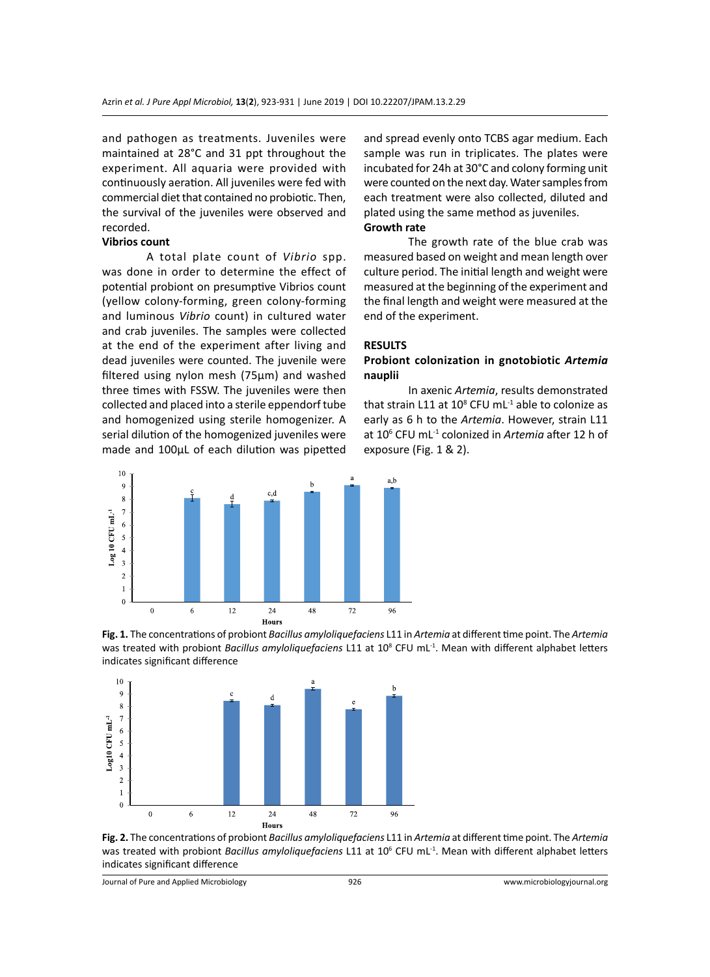and pathogen as treatments. Juveniles were maintained at 28°C and 31 ppt throughout the experiment. All aquaria were provided with continuously aeration. All juveniles were fed with commercial diet that contained no probiotic. Then, the survival of the juveniles were observed and recorded.

# **Vibrios count**

A total plate count of *Vibrio* spp. was done in order to determine the effect of potential probiont on presumptive Vibrios count (yellow colony-forming, green colony-forming and luminous *Vibrio* count) in cultured water and crab juveniles. The samples were collected at the end of the experiment after living and dead juveniles were counted. The juvenile were filtered using nylon mesh (75µm) and washed three times with FSSW. The juveniles were then collected and placed into a sterile eppendorf tube and homogenized using sterile homogenizer. A serial dilution of the homogenized juveniles were made and 100µL of each dilution was pipetted



and spread evenly onto TCBS agar medium. Each sample was run in triplicates. The plates were incubated for 24h at 30°C and colony forming unit were counted on the next day. Water samples from each treatment were also collected, diluted and plated using the same method as juveniles. **Growth rate** 

The growth rate of the blue crab was measured based on weight and mean length over culture period. The initial length and weight were measured at the beginning of the experiment and the final length and weight were measured at the end of the experiment.

# **RESULTS**

# **Probiont colonization in gnotobiotic** *Artemia*  **nauplii**

In axenic *Artemia*, results demonstrated that strain L11 at  $10^8$  CFU mL $^{-1}$  able to colonize as early as 6 h to the *Artemia*. However, strain L11 at 106 CFU mL-1 colonized in *Artemia* after 12 h of exposure (Fig. 1 & 2).





**Fig. 2.** The concentrations of probiont *Bacillus amyloliquefaciens* L11 in *Artemia* at different time point. The *Artemia* was treated with probiont *Bacillus amyloliquefaciens* L11 at 106 CFU mL-1. Mean with different alphabet letters indicates significant difference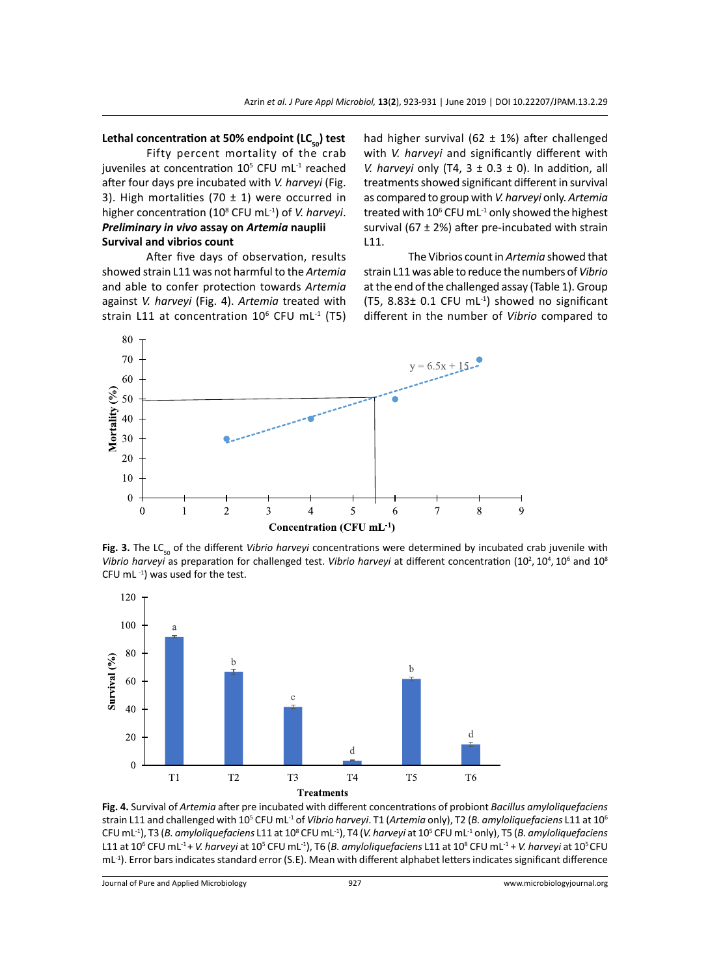#### Lethal concentration at 50% endpoint (LC<sub>50</sub>) test

Fifty percent mortality of the crab juveniles at concentration  $10^5$  CFU mL $^{-1}$  reached after four days pre incubated with *V. harveyi* (Fig. 3). High mortalities (70  $\pm$  1) were occurred in higher concentration (10<sup>8</sup> CFU mL-1) of *V. harveyi*. *Preliminary in vivo* **assay on** *Artemia* **nauplii Survival and vibrios count**

After five days of observation, results showed strain L11 was not harmful to the *Artemia* and able to confer protection towards *Artemia* against *V. harveyi* (Fig. 4). *Artemia* treated with strain L11 at concentration  $10^6$  CFU mL<sup>-1</sup> (T5) had higher survival (62  $\pm$  1%) after challenged with *V. harveyi* and significantly different with *V. harveyi* only (T4,  $3 \pm 0.3 \pm 0$ ). In addition, all treatments showed significant different in survival as compared to group with *V. harveyi* only. *Artemia* treated with 10 $^6$  CFU mL<sup>-1</sup> only showed the highest survival (67  $\pm$  2%) after pre-incubated with strain L11.

The Vibrios count in *Artemia* showed that strain L11 was able to reduce the numbers of *Vibrio* at the end of the challenged assay (Table 1). Group (T5,  $8.83 \pm 0.1$  CFU mL<sup>-1</sup>) showed no significant different in the number of *Vibrio* compared to



Fig. 3. The LC<sub>50</sub> of the different *Vibrio harveyi* concentrations were determined by incubated crab juvenile with Vibrio harveyi as preparation for challenged test. Vibrio harveyi at different concentration (10<sup>2</sup>, 10<sup>4</sup>, 10<sup>6</sup> and 10<sup>8</sup> CFU mL $^{-1}$ ) was used for the test.



**Fig. 4.** Survival of *Artemia* after pre incubated with different concentrations of probiont *Bacillus amyloliquefaciens*  strain L11 and challenged with 105 CFU mL-1 of *Vibrio harveyi*. T1 (*Artemia* only), T2 (*B. amyloliquefaciens* L11 at 106 CFU mL<sup>-1</sup>), T3 (B. amyloliquefaciens L11 at 10<sup>8</sup> CFU mL<sup>-1</sup>), T4 (V. harveyi at 10<sup>5</sup> CFU mL<sup>-1</sup> only), T5 (B. amyloliquefaciens L11 at 10<sup>6</sup> CFU mL<sup>-1</sup> + *V. harveyi* at 10<sup>5</sup> CFU mL<sup>-1</sup>), T6 (*B. amyloliquefaciens* L11 at 10<sup>8</sup> CFU mL<sup>-1</sup> + *V. harveyi* at 10<sup>5</sup> CFU mL<sup>-1</sup>). Error bars indicates standard error (S.E). Mean with different alphabet letters indicates significant difference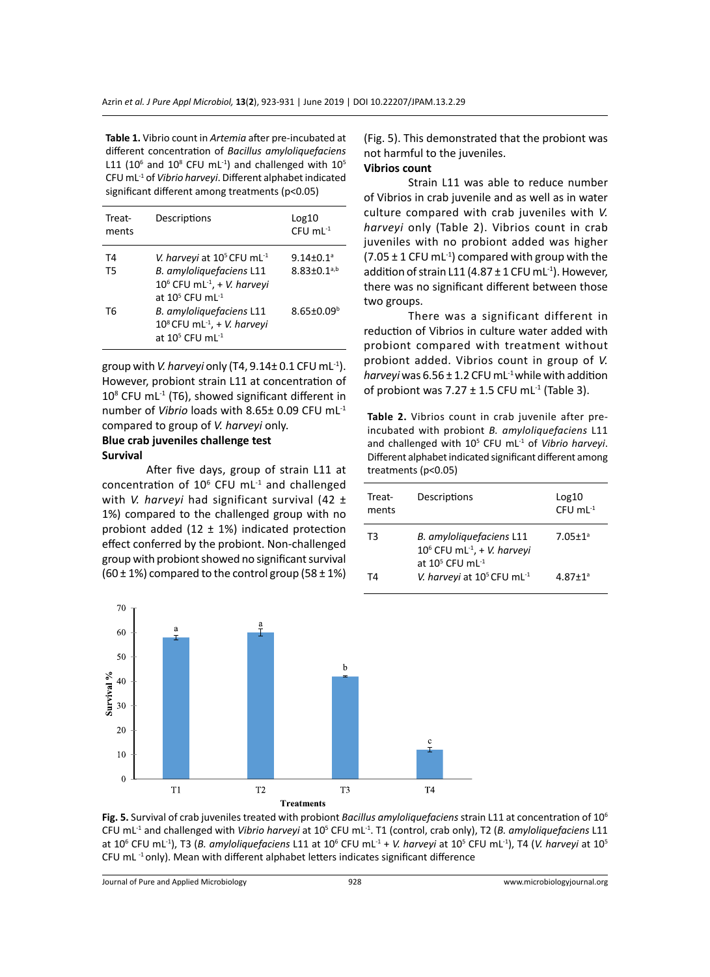**Table 1.** Vibrio count in *Artemia* after pre-incubated at different concentration of *Bacillus amyloliquefaciens* L11 (10 $^6$  and 10 $^8$  CFU mL<sup>-1</sup>) and challenged with 10 $^5$ CFU mL-1 of *Vibrio harveyi*. Different alphabet indicated significant different among treatments (p<0.05)

| Treat-<br>ments | Descriptions                                                                                                                                                                                                                                                                        | Log10<br>$CFU$ mL $^{-1}$                                           |
|-----------------|-------------------------------------------------------------------------------------------------------------------------------------------------------------------------------------------------------------------------------------------------------------------------------------|---------------------------------------------------------------------|
| T4<br>T5<br>T6  | V. harveyi at 10 <sup>5</sup> CFU mL <sup>-1</sup><br>B. amyloliquefaciens L11<br>10 <sup>6</sup> CFU mL <sup>-1</sup> , + V. harveyi<br>at $10^5$ CFU ml <sup>-1</sup><br>B. amyloliquefaciens L11<br>$10^8$ CFU mL <sup>-1</sup> , + V. harveyi<br>at $10^5$ CFU ml <sup>-1</sup> | $9.14 \pm 0.1^{\circ}$<br>$8.83 \pm 0.1^{a,b}$<br>$8.65 \pm 0.09^b$ |

group with *V. harveyi* only (T4, 9.14± 0.1 CFU mL-1). However, probiont strain L11 at concentration of  $10^8$  CFU mL<sup>-1</sup> (T6), showed significant different in number of *Vibrio* loads with 8.65± 0.09 CFU mL-1 compared to group of *V. harveyi* only.

# **Blue crab juveniles challenge test Survival**

After five days, group of strain L11 at concentration of  $10^6$  CFU mL $^{-1}$  and challenged with *V. harveyi* had significant survival (42 ± 1%) compared to the challenged group with no probiont added  $(12 \pm 1\%)$  indicated protection effect conferred by the probiont. Non-challenged group with probiont showed no significant survival  $(60 \pm 1\%)$  compared to the control group  $(58 \pm 1\%)$ 

(Fig. 5). This demonstrated that the probiont was not harmful to the juveniles.

# **Vibrios count**

Strain L11 was able to reduce number of Vibrios in crab juvenile and as well as in water culture compared with crab juveniles with *V. harveyi* only (Table 2). Vibrios count in crab juveniles with no probiont added was higher  $(7.05 \pm 1 \text{ CFU} \text{ mL}^{-1})$  compared with group with the addition of strain L11 (4.87  $\pm$  1 CFU mL<sup>-1</sup>). However, there was no significant different between those two groups.

There was a significant different in reduction of Vibrios in culture water added with probiont compared with treatment without probiont added. Vibrios count in group of *V. harveyi* was  $6.56 \pm 1.2$  CFU mL<sup>-1</sup> while with addition of probiont was  $7.27 \pm 1.5$  CFU mL<sup>-1</sup> (Table 3).

**Table 2.** Vibrios count in crab juvenile after preincubated with probiont *B. amyloliquefaciens* L11 and challenged with 10<sup>5</sup> CFU mL<sup>-1</sup> of Vibrio harveyi. Different alphabet indicated significant different among treatments (p<0.05)

| Treat-<br>ments | Descriptions                                                                                       | Log10<br>$CFU$ mL <sup>-1</sup> |
|-----------------|----------------------------------------------------------------------------------------------------|---------------------------------|
| T3              | B. amyloliquefaciens L11<br>$10^6$ CFU mL <sup>-1</sup> , + V. harveyi<br>at $10^5$ CFU mI $^{-1}$ | $7.05 \pm 1^a$                  |
| T4.             | V. harveyi at $10^5$ CFU mL <sup>-1</sup>                                                          | $4.87 + 1a$                     |



**Fig. 5.** Survival of crab juveniles treated with probiont *Bacillus amyloliquefaciens* strain L11 at concentration of 10<sup>6</sup> CFU mL-1 and challenged with *Vibrio harveyi* at 10<sup>5</sup> CFU mL-1. T1 (control, crab only), T2 (*B. amyloliquefaciens* L11 at 10<sup>6</sup> CFU mL<sup>-1</sup>), T3 (B. amyloliquefaciens L11 at 10<sup>6</sup> CFU mL<sup>-1</sup> + V. harveyi at 10<sup>5</sup> CFU mL<sup>-1</sup>), T4 (V. harveyi at 10<sup>5</sup> CFU mL $^{-1}$  only). Mean with different alphabet letters indicates significant difference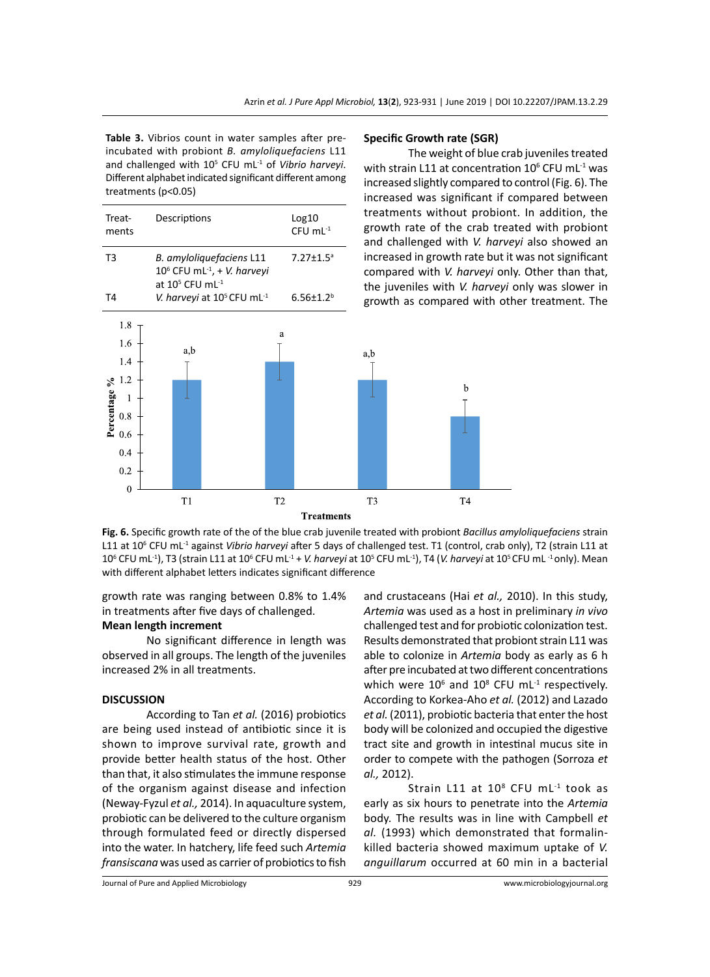**Table 3.** Vibrios count in water samples after preincubated with probiont *B. amyloliquefaciens* L11 and challenged with 10<sup>5</sup> CFU mL<sup>-1</sup> of *Vibrio harveyi*. Different alphabet indicated significant different among treatments (p<0.05)

| Treat-<br>ments | Descriptions                                                                                             | Log10<br>$CFU$ mL $^{-1}$   | treatme<br>growth<br>and cha |
|-----------------|----------------------------------------------------------------------------------------------------------|-----------------------------|------------------------------|
| T <sub>3</sub>  | B. amyloliquefaciens L11<br>$10^6$ CFU mL <sup>-1</sup> , + V. harveyi<br>at $10^5$ CFU mL <sup>-1</sup> | $7.27 \pm 1.5$ <sup>a</sup> | increase<br>compare          |
| T <sub>4</sub>  | V. harveyi at 10 <sup>5</sup> CFU mL <sup>-1</sup>                                                       | $6.56 \pm 1.2^b$            | the juve<br>growth           |
| 1.8             |                                                                                                          | a                           |                              |
| 1.6<br>1.4      | a,b                                                                                                      |                             | a,b                          |
| 1.2<br>ని       |                                                                                                          |                             |                              |
| centage         |                                                                                                          |                             |                              |
| 0.8             |                                                                                                          |                             |                              |

 $T2$ 

#### **Specific Growth rate (SGR)**

The weight of blue crab juveniles treated with strain L11 at concentration  $10^6$  CFU mL<sup>-1</sup> was increased slightly compared to control (Fig. 6). The increased was significant if compared between nts without probiont. In addition, the rate of the crab treated with probiont llenged with *V. harveyi* also showed an d in growth rate but it was not significant ed with *V. harveyi* only. Other than that, niles with *V. harveyi* only was slower in as compared with other treatment. The

 $\bf b$ 

T<sub>4</sub>

**Fig. 6.** Specific growth rate of the of the blue crab juvenile treated with probiont *Bacillus amyloliquefaciens* strain L11 at 106 CFU mL-1 against *Vibrio harveyi* after 5 days of challenged test. T1 (control, crab only), T2 (strain L11 at 10<sup>6</sup> CFU mL<sup>-1</sup>), T3 (strain L11 at 10<sup>6</sup> CFU mL<sup>-1</sup> + *V. harveyi* at 10<sup>5</sup> CFU mL<sup>-1</sup>), T4 (*V. harveyi* at 10<sup>5</sup> CFU mL<sup>-1</sup> only). Mean with different alphabet letters indicates significant difference

**Treatments** 

T<sub>3</sub>

growth rate was ranging between 0.8% to 1.4% in treatments after five days of challenged.

# **Mean length increment**

 $T1$ 

No significant difference in length was observed in all groups. The length of the juveniles increased 2% in all treatments.

#### **DISCUSSION**

 $\frac{1}{2}$  0.6

 $0.2$  $\Omega$ 

According to Tan *et al.* (2016) probiotics are being used instead of antibiotic since it is shown to improve survival rate, growth and provide better health status of the host. Other than that, it also stimulates the immune response of the organism against disease and infection (Neway-Fyzul *et al.,* 2014). In aquaculture system, probiotic can be delivered to the culture organism through formulated feed or directly dispersed into the water. In hatchery, life feed such *Artemia fransiscana* was used as carrier of probiotics to fish and crustaceans (Hai *et al.,* 2010). In this study, *Artemia* was used as a host in preliminary *in vivo* challenged test and for probiotic colonization test. Results demonstrated that probiont strain L11 was able to colonize in *Artemia* body as early as 6 h after pre incubated at two different concentrations which were  $10^6$  and  $10^8$  CFU mL<sup>-1</sup> respectively. According to Korkea-Aho *et al.* (2012) and Lazado *et al.* (2011), probiotic bacteria that enter the host body will be colonized and occupied the digestive tract site and growth in intestinal mucus site in order to compete with the pathogen (Sorroza *et al.,* 2012).

Strain L11 at 10<sup>8</sup> CFU mL<sup>-1</sup> took as early as six hours to penetrate into the *Artemia* body. The results was in line with Campbell *et al.* (1993) which demonstrated that formalinkilled bacteria showed maximum uptake of *V. anguillarum* occurred at 60 min in a bacterial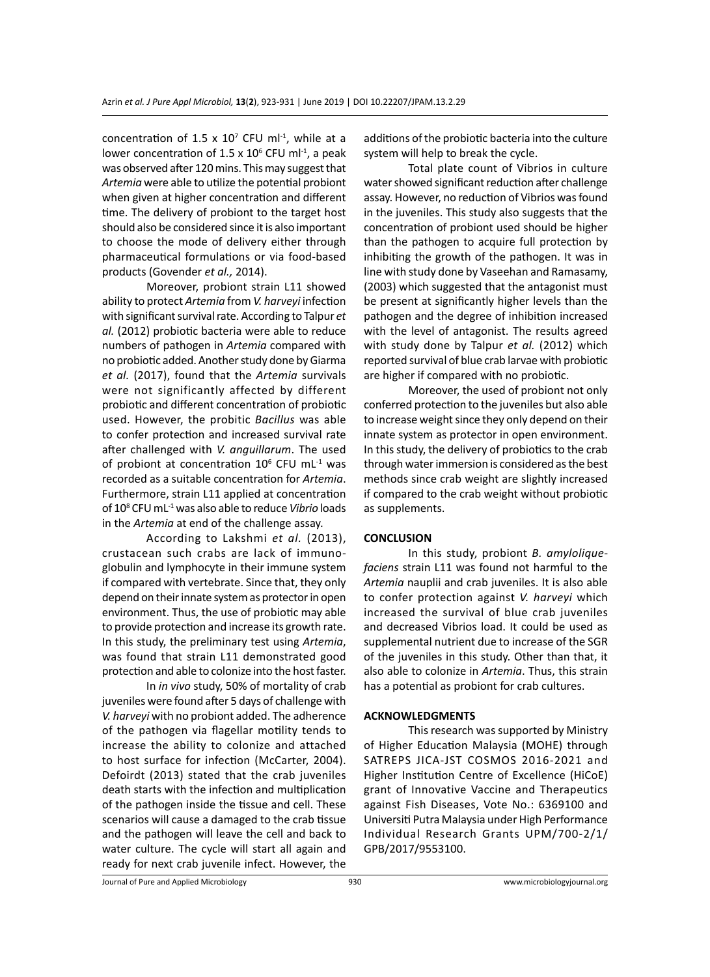concentration of 1.5 x  $10^7$  CFU ml<sup>-1</sup>, while at a lower concentration of 1.5 x  $10^6$  CFU ml<sup>-1</sup>, a peak was observed after 120 mins. This may suggest that *Artemia* were able to utilize the potential probiont when given at higher concentration and different time. The delivery of probiont to the target host should also be considered since it is also important to choose the mode of delivery either through pharmaceutical formulations or via food-based products (Govender *et al.,* 2014).

Moreover, probiont strain L11 showed ability to protect *Artemia* from *V. harveyi* infection with significant survival rate. According to Talpur *et al.* (2012) probiotic bacteria were able to reduce numbers of pathogen in *Artemia* compared with no probiotic added. Another study done by Giarma *et al.* (2017), found that the *Artemia* survivals were not significantly affected by different probiotic and different concentration of probiotic used. However, the probitic *Bacillus* was able to confer protection and increased survival rate after challenged with *V. anguillarum*. The used of probiont at concentration  $10^6$  CFU mL<sup>-1</sup> was recorded as a suitable concentration for *Artemia*. Furthermore, strain L11 applied at concentration of 10<sup>8</sup> CFU mL-1 was also able to reduce *Vibrio* loads in the *Artemia* at end of the challenge assay.

According to Lakshmi *et al.* (2013), crustacean such crabs are lack of immunoglobulin and lymphocyte in their immune system if compared with vertebrate. Since that, they only depend on their innate system as protector in open environment. Thus, the use of probiotic may able to provide protection and increase its growth rate. In this study, the preliminary test using *Artemia*, was found that strain L11 demonstrated good protection and able to colonize into the host faster.

In *in vivo* study, 50% of mortality of crab juveniles were found after 5 days of challenge with *V. harveyi* with no probiont added. The adherence of the pathogen via flagellar motility tends to increase the ability to colonize and attached to host surface for infection (McCarter, 2004). Defoirdt (2013) stated that the crab juveniles death starts with the infection and multiplication of the pathogen inside the tissue and cell. These scenarios will cause a damaged to the crab tissue and the pathogen will leave the cell and back to water culture. The cycle will start all again and ready for next crab juvenile infect. However, the additions of the probiotic bacteria into the culture system will help to break the cycle.

Total plate count of Vibrios in culture water showed significant reduction after challenge assay. However, no reduction of Vibrios was found in the juveniles. This study also suggests that the concentration of probiont used should be higher than the pathogen to acquire full protection by inhibiting the growth of the pathogen. It was in line with study done by Vaseehan and Ramasamy, (2003) which suggested that the antagonist must be present at significantly higher levels than the pathogen and the degree of inhibition increased with the level of antagonist. The results agreed with study done by Talpur *et al.* (2012) which reported survival of blue crab larvae with probiotic are higher if compared with no probiotic.

Moreover, the used of probiont not only conferred protection to the juveniles but also able to increase weight since they only depend on their innate system as protector in open environment. In this study, the delivery of probiotics to the crab through water immersion is considered as the best methods since crab weight are slightly increased if compared to the crab weight without probiotic as supplements.

# **CONCLUSION**

In this study, probiont *B. amyloliquefaciens* strain L11 was found not harmful to the *Artemia* nauplii and crab juveniles. It is also able to confer protection against *V. harveyi* which increased the survival of blue crab juveniles and decreased Vibrios load. It could be used as supplemental nutrient due to increase of the SGR of the juveniles in this study. Other than that, it also able to colonize in *Artemia*. Thus, this strain has a potential as probiont for crab cultures.

#### **ACKNOWLEDGMENTS**

This research was supported by Ministry of Higher Education Malaysia (MOHE) through SATREPS JICA-JST COSMOS 2016-2021 and Higher Institution Centre of Excellence (HiCoE) grant of Innovative Vaccine and Therapeutics against Fish Diseases, Vote No.: 6369100 and Universiti Putra Malaysia under High Performance Individual Research Grants UPM/700-2/1/ GPB/2017/9553100.